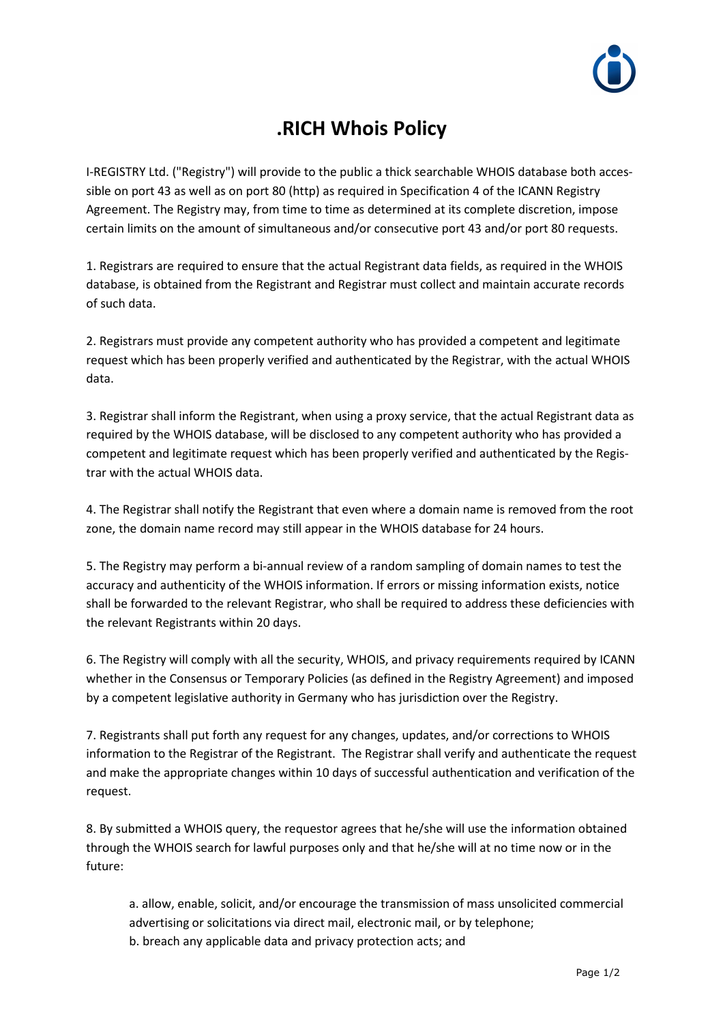

## **.RICH Whois Policy**

I-REGISTRY Ltd. ("Registry") will provide to the public a thick searchable WHOIS database both accessible on port 43 as well as on port 80 (http) as required in Specification 4 of the ICANN Registry Agreement. The Registry may, from time to time as determined at its complete discretion, impose certain limits on the amount of simultaneous and/or consecutive port 43 and/or port 80 requests.

1. Registrars are required to ensure that the actual Registrant data fields, as required in the WHOIS database, is obtained from the Registrant and Registrar must collect and maintain accurate records of such data.

2. Registrars must provide any competent authority who has provided a competent and legitimate request which has been properly verified and authenticated by the Registrar, with the actual WHOIS data.

3. Registrar shall inform the Registrant, when using a proxy service, that the actual Registrant data as required by the WHOIS database, will be disclosed to any competent authority who has provided a competent and legitimate request which has been properly verified and authenticated by the Registrar with the actual WHOIS data.

4. The Registrar shall notify the Registrant that even where a domain name is removed from the root zone, the domain name record may still appear in the WHOIS database for 24 hours.

5. The Registry may perform a bi-annual review of a random sampling of domain names to test the accuracy and authenticity of the WHOIS information. If errors or missing information exists, notice shall be forwarded to the relevant Registrar, who shall be required to address these deficiencies with the relevant Registrants within 20 days.

6. The Registry will comply with all the security, WHOIS, and privacy requirements required by ICANN whether in the Consensus or Temporary Policies (as defined in the Registry Agreement) and imposed by a competent legislative authority in Germany who has jurisdiction over the Registry.

7. Registrants shall put forth any request for any changes, updates, and/or corrections to WHOIS information to the Registrar of the Registrant. The Registrar shall verify and authenticate the request and make the appropriate changes within 10 days of successful authentication and verification of the request.

8. By submitted a WHOIS query, the requestor agrees that he/she will use the information obtained through the WHOIS search for lawful purposes only and that he/she will at no time now or in the future:

a. allow, enable, solicit, and/or encourage the transmission of mass unsolicited commercial advertising or solicitations via direct mail, electronic mail, or by telephone; b. breach any applicable data and privacy protection acts; and